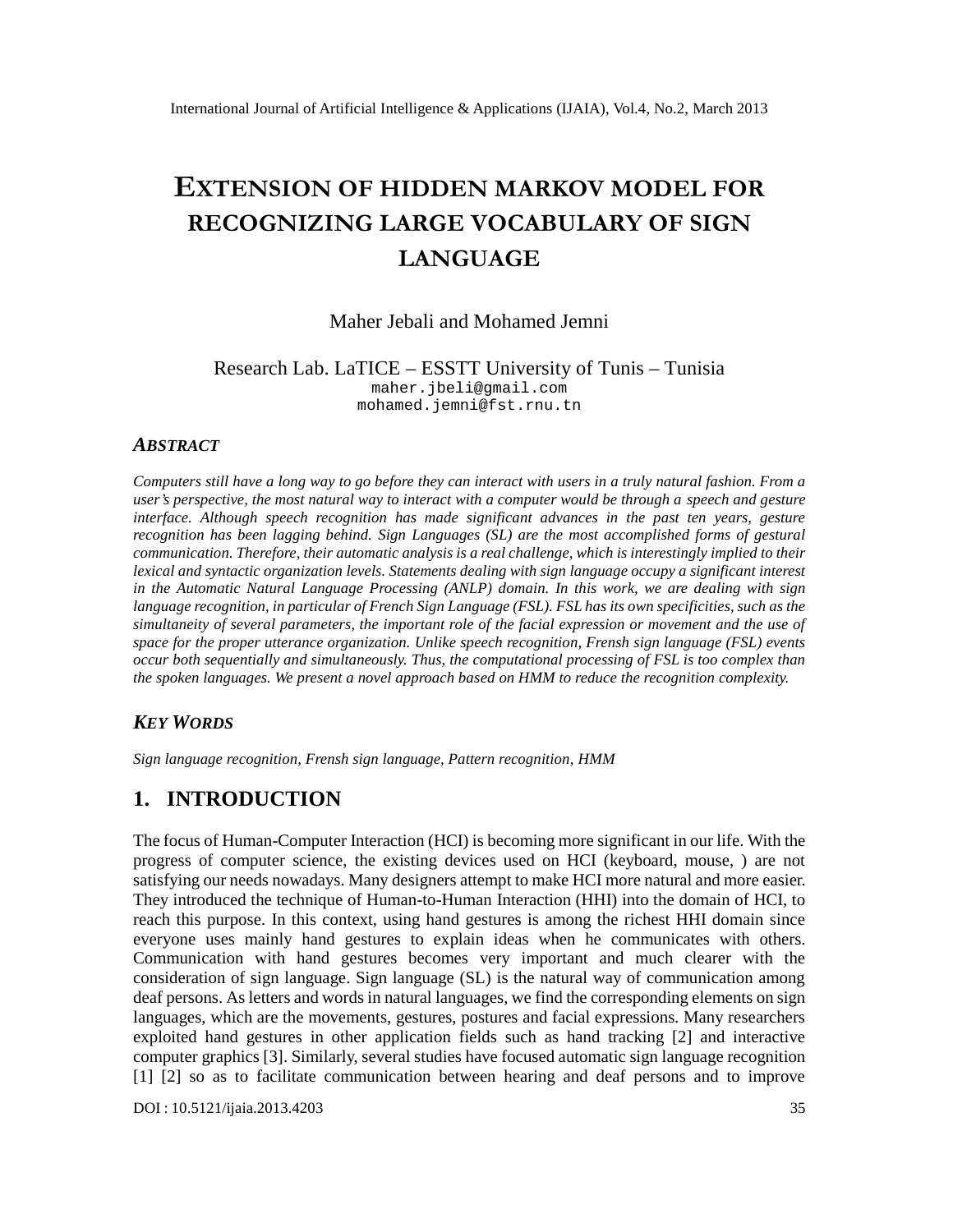# EXTENSION OF HIDDENOW MODEL FOR RECOGNIZING LARCGAEB WIDARY OF SIGN LANGUAGE

# Maher Jebali and Mohamed Jemni

#### Research Lab. LaTICEESSTT University of Tuni €Tunisia maher.j[beli@gmail.com](mailto:jbeli@gmail.com) mohamed.[jemni@fst.rnu.tn](mailto:jemni@fst.rnu)

#### ABSTRACT

Computers still have a long way to go before they can interact with users in a truly natural fashion. From a user€s perspective, the most natural way to interact with a computer would be the puse and gesture interface. Although speech recognition has made significant advances in the past ten years, gesture recognition has been lagging behindlign Languages (SL) are the most accomplished forms of gestural communication. Therefore, their autoric analysis is a real challenge, which is interestingly implied to their lexical and syntactic organization levels. Statements dealing with sign language occupy a significant interest in the Automatic Natural Language Processing (ANLP) domain. In thit, we are dealing with sign language recognition, in particular of French Sign Language (FSL). FSL has its own specificities, such as the simultaneity of several parameters, the important role of the facial expression or movement and the use of space forthe proper utterance organization. Unlike speech recognition, Frensh sign language (FSL) events occur both sequentially and simultaneously. Thus, the computational processing of FSL is too complex than the spoken languages. We present a novel approact bas HMM to reduce the recognition complexity.

## KEY WORDS

Sign language recognition, Frensh sign language, Pattern recognition,

# 1. INTRODUCTION

The focus of HumanComputer Interaction (HCI) is becoming more significant in our life. With the progress of computer science, the existing devices used on HCI (keyboard, mouse, ) are not satisfying our needs nowadays. Many designers attempt to make He Chatural and more easier. They introduced the technique of Humtan Human Interaction (HHI) into the domain of HCI, to reach this purpose. In this context, using hand gestures is among the richest HHI domain since everyone uses mainly hand gestures to a ideas when he communicates with others. Communication with hand gestures becomes very important and much clearer with the consideration of sign language. Sign language (SL) is the natural way of communication among deaf persons. As letters and word batural languages, we find the corresponding elements on sign languages, which are the movements, gestures, postures and facial expressions. Many researchers exploited hand gestures in other application fields such as hand tracking [2] and interactive computer graphics [3]. Similarly, several studies have focused automatic sign language recognition [1] [2] so as to facilitate communication between hearing and deaf persons and to improve

DOI : 10.5121/ijaia.2013.4203 35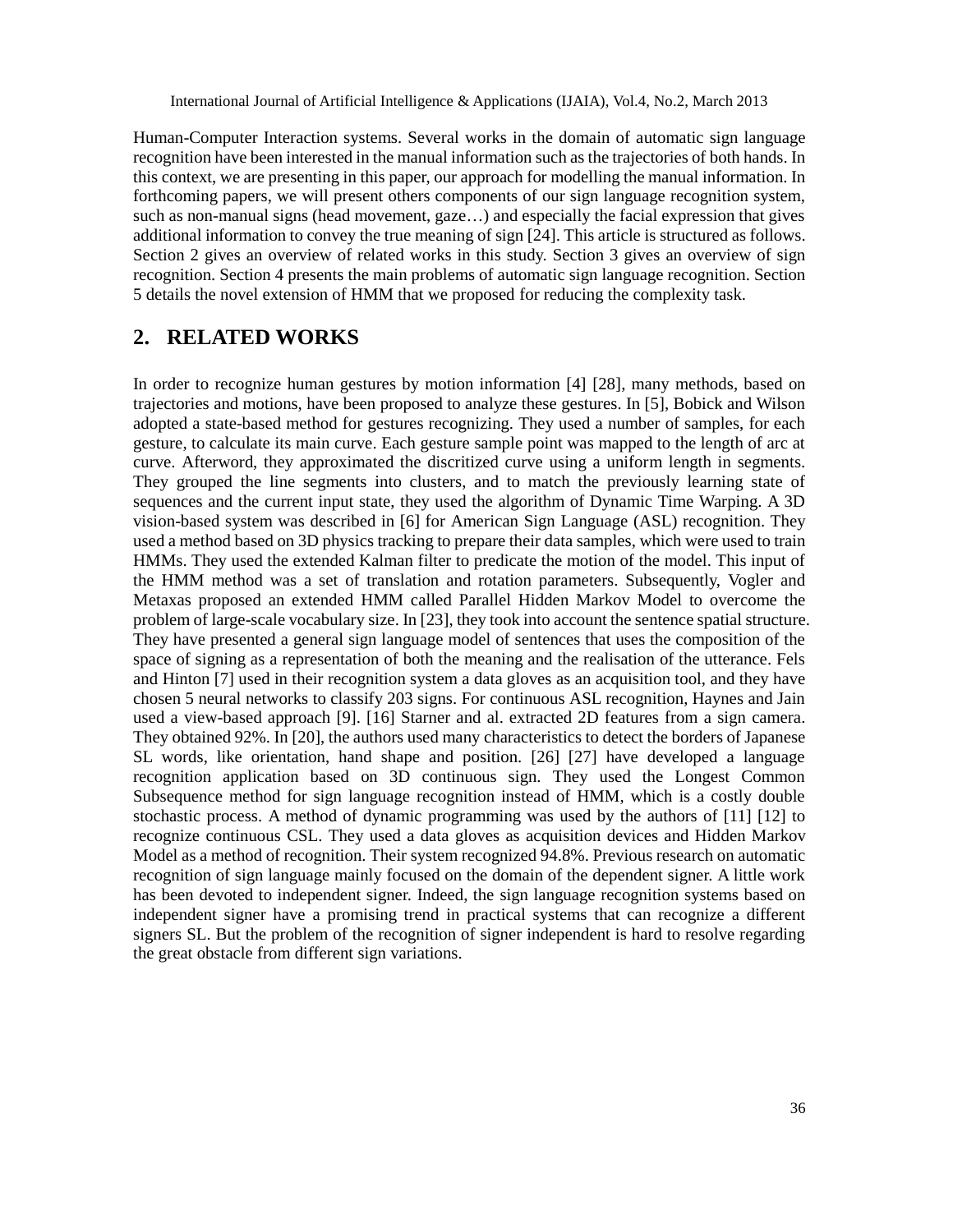Human-Computer Interaction systems. Several works in the domain of automatic sign language recognition have been interested in the manual information such as the trajectories of both hands. In this context, we are presenting in this paper, our approach for modelling the manual information. In forthcoming papers, we will present others components of our sign language recognition system, such as non-manual signs (head movement, gaze…) and especially the facial expression that gives additional information to convey the true meaning of sign [24]. This article is structured as follows. Section 2 gives an overview of related works in this study. Section 3 gives an overview of sign recognition. Section 4 presents the main problems of automatic sign language recognition. Section 5 details the novel extension of HMM that we proposed for reducing the complexity task.

# **2. RELATED WORKS**

In order to recognize human gestures by motion information [4] [28], many methods, based on trajectories and motions, have been proposed to analyze these gestures. In [5], Bobick and Wilson adopted a state-based method for gestures recognizing. They used a number of samples, for each gesture, to calculate its main curve. Each gesture sample point was mapped to the length of arc at curve. Afterword, they approximated the discritized curve using a uniform length in segments. They grouped the line segments into clusters, and to match the previously learning state of sequences and the current input state, they used the algorithm of Dynamic Time Warping. A 3D vision-based system was described in [6] for American Sign Language (ASL) recognition. They used a method based on 3D physics tracking to prepare their data samples, which were used to train HMMs. They used the extended Kalman filter to predicate the motion of the model. This input of the HMM method was a set of translation and rotation parameters. Subsequently, Vogler and Metaxas proposed an extended HMM called Parallel Hidden Markov Model to overcome the problem of large-scale vocabulary size. In [23], they took into account the sentence spatial structure. They have presented a general sign language model of sentences that uses the composition of the space of signing as a representation of both the meaning and the realisation of the utterance. Fels and Hinton [7] used in their recognition system a data gloves as an acquisition tool, and they have chosen 5 neural networks to classify 203 signs. For continuous ASL recognition, Haynes and Jain used a view-based approach [9]. [16] Starner and al. extracted 2D features from a sign camera. They obtained 92%. In [20], the authors used many characteristics to detect the borders of Japanese SL words, like orientation, hand shape and position. [26] [27] have developed a language recognition application based on 3D continuous sign. They used the Longest Common Subsequence method for sign language recognition instead of HMM, which is a costly double stochastic process. A method of dynamic programming was used by the authors of [11] [12] to recognize continuous CSL. They used a data gloves as acquisition devices and Hidden Markov Model as a method of recognition. Their system recognized 94.8%. Previous research on automatic recognition of sign language mainly focused on the domain of the dependent signer. A little work has been devoted to independent signer. Indeed, the sign language recognition systems based on independent signer have a promising trend in practical systems that can recognize a different signers SL. But the problem of the recognition of signer independent is hard to resolve regarding the great obstacle from different sign variations.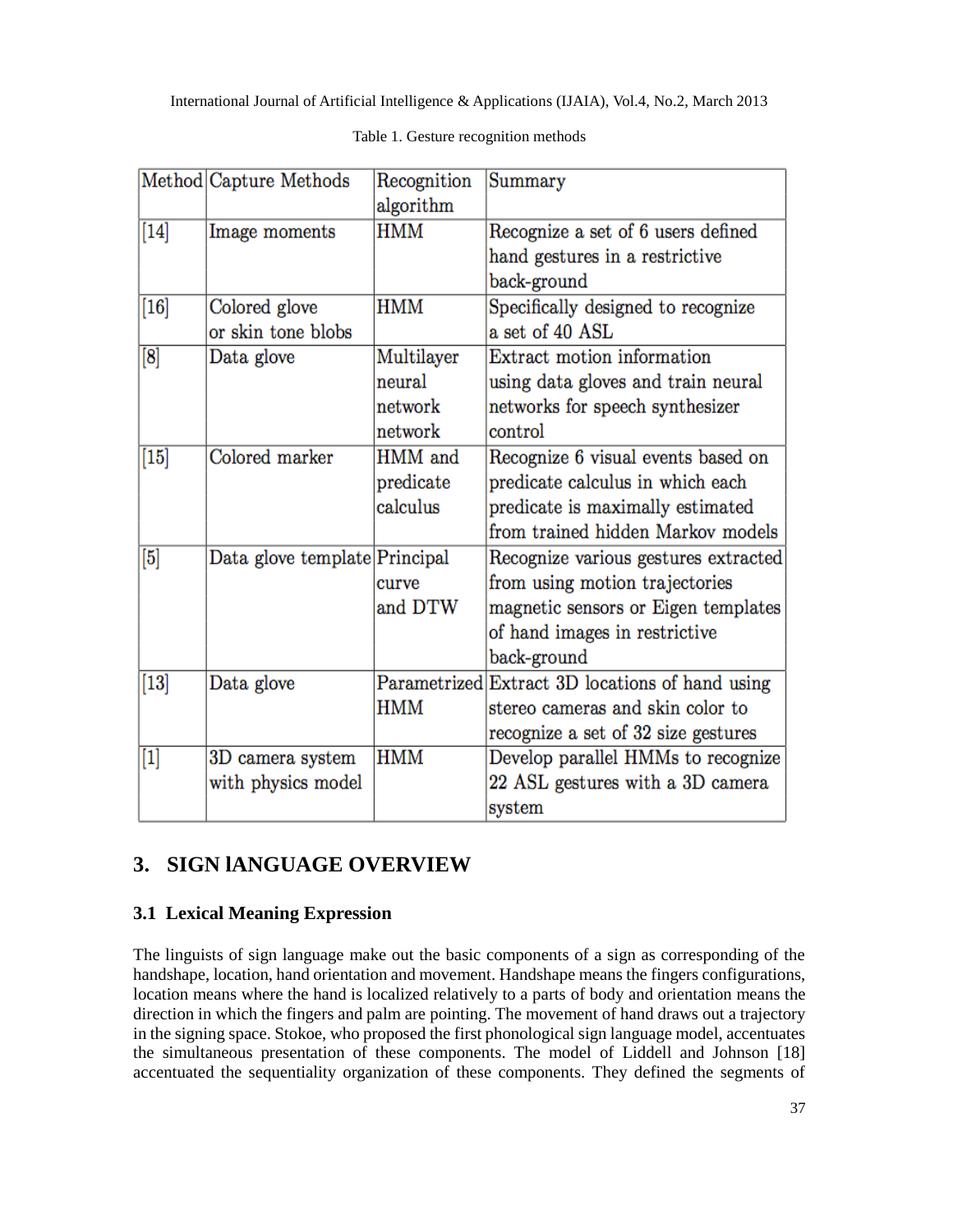|                                                                                                                                                                                                              | Method Capture Methods        | Recognition<br>algorithm | Summary                                         |
|--------------------------------------------------------------------------------------------------------------------------------------------------------------------------------------------------------------|-------------------------------|--------------------------|-------------------------------------------------|
| $[14]$                                                                                                                                                                                                       | Image moments                 | <b>HMM</b>               | Recognize a set of 6 users defined              |
|                                                                                                                                                                                                              |                               |                          | hand gestures in a restrictive                  |
|                                                                                                                                                                                                              |                               |                          | back-ground                                     |
| $[16]$                                                                                                                                                                                                       | Colored glove                 | <b>HMM</b>               | Specifically designed to recognize              |
|                                                                                                                                                                                                              | or skin tone blobs            |                          | a set of 40 ASL                                 |
| $\left[ 8\right]$                                                                                                                                                                                            | Data glove                    | Multilayer               | Extract motion information                      |
|                                                                                                                                                                                                              |                               | neural                   | using data gloves and train neural              |
|                                                                                                                                                                                                              |                               | network                  | networks for speech synthesizer                 |
|                                                                                                                                                                                                              |                               | network                  | control                                         |
| $[15]$                                                                                                                                                                                                       | Colored marker                | HMM and                  | Recognize 6 visual events based on              |
|                                                                                                                                                                                                              |                               | predicate                | predicate calculus in which each                |
|                                                                                                                                                                                                              |                               | calculus                 | predicate is maximally estimated                |
|                                                                                                                                                                                                              |                               |                          | from trained hidden Markov models               |
| $[5] % \includegraphics[width=0.9\columnwidth]{figures/fig_1a} \caption{The 3D (top) of the parameter $\Omega$ in the left and right. The left is the same time, the right is the same time.} \label{fig:1}$ | Data glove template Principal |                          | Recognize various gestures extracted            |
|                                                                                                                                                                                                              |                               | curve                    | from using motion trajectories                  |
|                                                                                                                                                                                                              |                               | and DTW                  | magnetic sensors or Eigen templates             |
|                                                                                                                                                                                                              |                               |                          | of hand images in restrictive                   |
|                                                                                                                                                                                                              |                               |                          | back-ground                                     |
| $[13]$                                                                                                                                                                                                       | Data glove                    |                          | Parametrized Extract 3D locations of hand using |
|                                                                                                                                                                                                              |                               | <b>HMM</b>               | stereo cameras and skin color to                |
|                                                                                                                                                                                                              |                               |                          | recognize a set of 32 size gestures             |
| [1]                                                                                                                                                                                                          | 3D camera system              | <b>HMM</b>               | Develop parallel HMMs to recognize              |
|                                                                                                                                                                                                              | with physics model            |                          | 22 ASL gestures with a 3D camera                |
|                                                                                                                                                                                                              |                               |                          | system                                          |

Table 1. Gesture recognition methods

# **3. SIGN lANGUAGE OVERVIEW**

## **3.1 Lexical Meaning Expression**

The linguists of sign language make out the basic components of a sign as corresponding of the handshape, location, hand orientation and movement. Handshape means the fingers configurations, location means where the hand is localized relatively to a parts of body and orientation means the direction in which the fingers and palm are pointing. The movement of hand draws out a trajectory in the signing space. Stokoe, who proposed the first phonological sign language model, accentuates the simultaneous presentation of these components. The model of Liddell and Johnson [18] accentuated the sequentiality organization of these components. They defined the segments of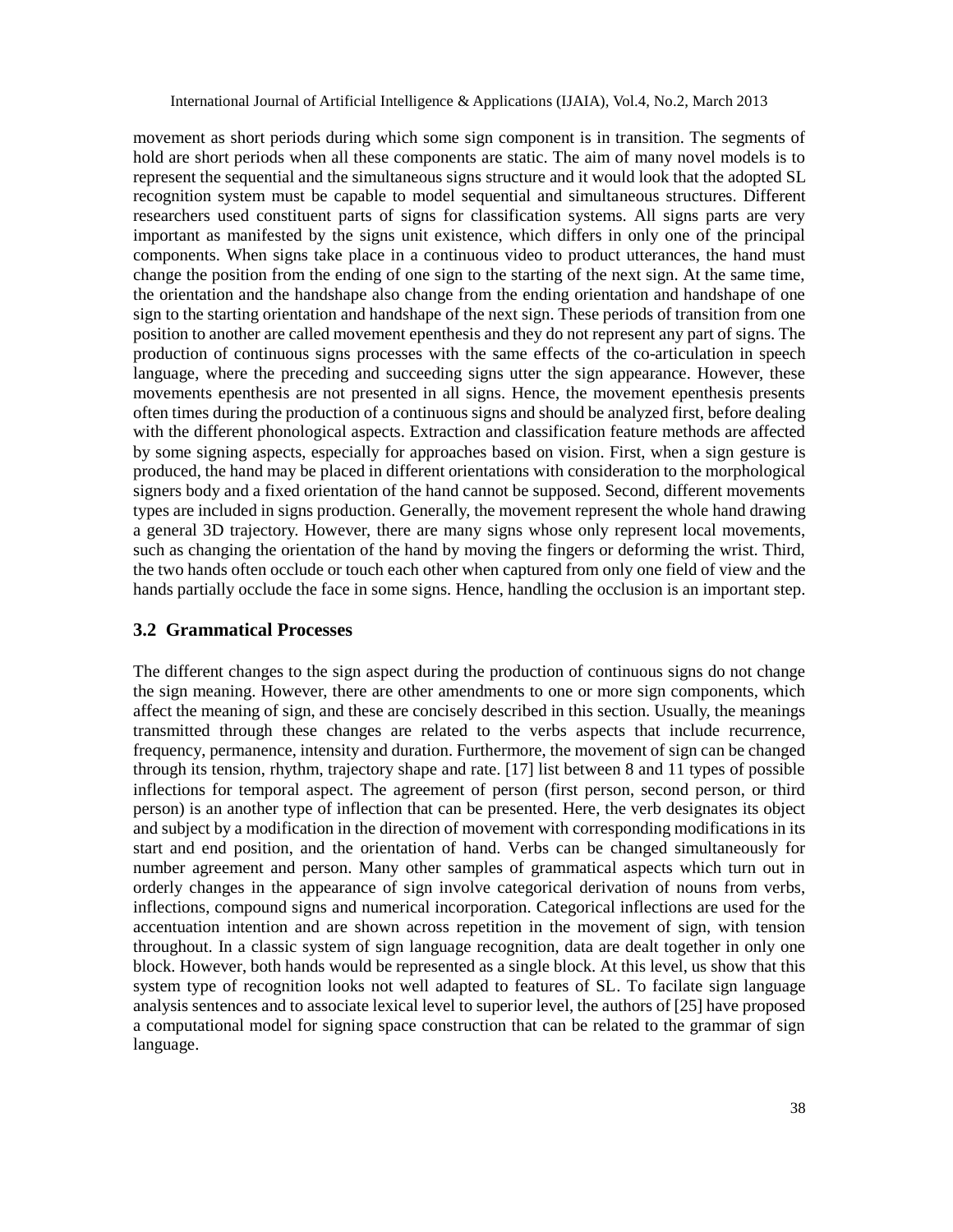movement as short periods during which some sign component is in transition. The segments of hold are short periods when all these components are static. The aim of many novel models is to represent the sequential and the simultaneous signs structure and it would look that the adopted SL recognition system must be capable to model sequential and simultaneous structures. Different researchers used constituent parts of signs for classification systems. All signs parts are very important as manifested by the signs unit existence, which differs in only one of the principal components. When signs take place in a continuous video to product utterances, the hand must change the position from the ending of one sign to the starting of the next sign. At the same time, the orientation and the handshape also change from the ending orientation and handshape of one sign to the starting orientation and handshape of the next sign. These periods of transition from one position to another are called movement epenthesis and they do not represent any part of signs. The production of continuous signs processes with the same effects of the co-articulation in speech language, where the preceding and succeeding signs utter the sign appearance. However, these movements epenthesis are not presented in all signs. Hence, the movement epenthesis presents often times during the production of a continuous signs and should be analyzed first, before dealing with the different phonological aspects. Extraction and classification feature methods are affected by some signing aspects, especially for approaches based on vision. First, when a sign gesture is produced, the hand may be placed in different orientations with consideration to the morphological signers body and a fixed orientation of the hand cannot be supposed. Second, different movements types are included in signs production. Generally, the movement represent the whole hand drawing a general 3D trajectory. However, there are many signs whose only represent local movements, such as changing the orientation of the hand by moving the fingers or deforming the wrist. Third, the two hands often occlude or touch each other when captured from only one field of view and the hands partially occlude the face in some signs. Hence, handling the occlusion is an important step.

#### **3.2 Grammatical Processes**

The different changes to the sign aspect during the production of continuous signs do not change the sign meaning. However, there are other amendments to one or more sign components, which affect the meaning of sign, and these are concisely described in this section. Usually, the meanings transmitted through these changes are related to the verbs aspects that include recurrence, frequency, permanence, intensity and duration. Furthermore, the movement of sign can be changed through its tension, rhythm, trajectory shape and rate. [17] list between 8 and 11 types of possible inflections for temporal aspect. The agreement of person (first person, second person, or third person) is an another type of inflection that can be presented. Here, the verb designates its object and subject by a modification in the direction of movement with corresponding modifications in its start and end position, and the orientation of hand. Verbs can be changed simultaneously for number agreement and person. Many other samples of grammatical aspects which turn out in orderly changes in the appearance of sign involve categorical derivation of nouns from verbs, inflections, compound signs and numerical incorporation. Categorical inflections are used for the accentuation intention and are shown across repetition in the movement of sign, with tension throughout. In a classic system of sign language recognition, data are dealt together in only one block. However, both hands would be represented as a single block. At this level, us show that this system type of recognition looks not well adapted to features of SL. To facilate sign language analysis sentences and to associate lexical level to superior level, the authors of [25] have proposed a computational model for signing space construction that can be related to the grammar of sign language.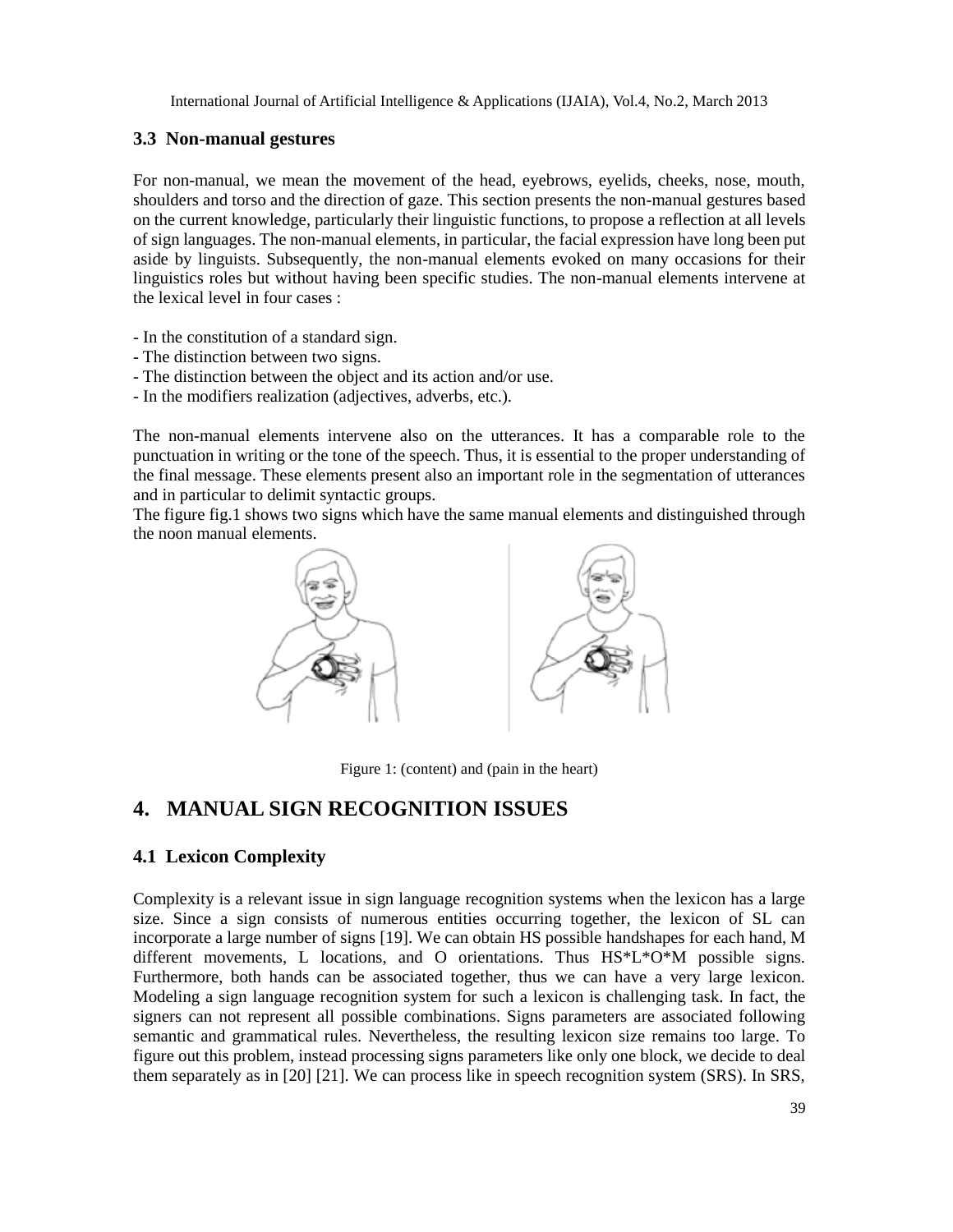#### **3.3 Non-manual gestures**

For non-manual, we mean the movement of the head, eyebrows, eyelids, cheeks, nose, mouth, shoulders and torso and the direction of gaze. This section presents the non-manual gestures based on the current knowledge, particularly their linguistic functions, to propose a reflection at all levels of sign languages. The non-manual elements, in particular, the facial expression have long been put aside by linguists. Subsequently, the non-manual elements evoked on many occasions for their linguistics roles but without having been specific studies. The non-manual elements intervene at the lexical level in four cases :

- In the constitution of a standard sign.
- The distinction between two signs.
- The distinction between the object and its action and/or use.
- In the modifiers realization (adjectives, adverbs, etc.).

The non-manual elements intervene also on the utterances. It has a comparable role to the punctuation in writing or the tone of the speech. Thus, it is essential to the proper understanding of the final message. These elements present also an important role in the segmentation of utterances and in particular to delimit syntactic groups.

The figure fig.1 shows two signs which have the same manual elements and distinguished through the noon manual elements.



Figure 1: (content) and (pain in the heart)

# **4. MANUAL SIGN RECOGNITION ISSUES**

## **4.1 Lexicon Complexity**

Complexity is a relevant issue in sign language recognition systems when the lexicon has a large size. Since a sign consists of numerous entities occurring together, the lexicon of SL can incorporate a large number of signs [19]. We can obtain HS possible handshapes for each hand, M different movements, L locations, and O orientations. Thus HS\*L\*O\*M possible signs. Furthermore, both hands can be associated together, thus we can have a very large lexicon. Modeling a sign language recognition system for such a lexicon is challenging task. In fact, the signers can not represent all possible combinations. Signs parameters are associated following semantic and grammatical rules. Nevertheless, the resulting lexicon size remains too large. To figure out this problem, instead processing signs parameters like only one block, we decide to deal them separately as in [20] [21]. We can process like in speech recognition system (SRS). In SRS,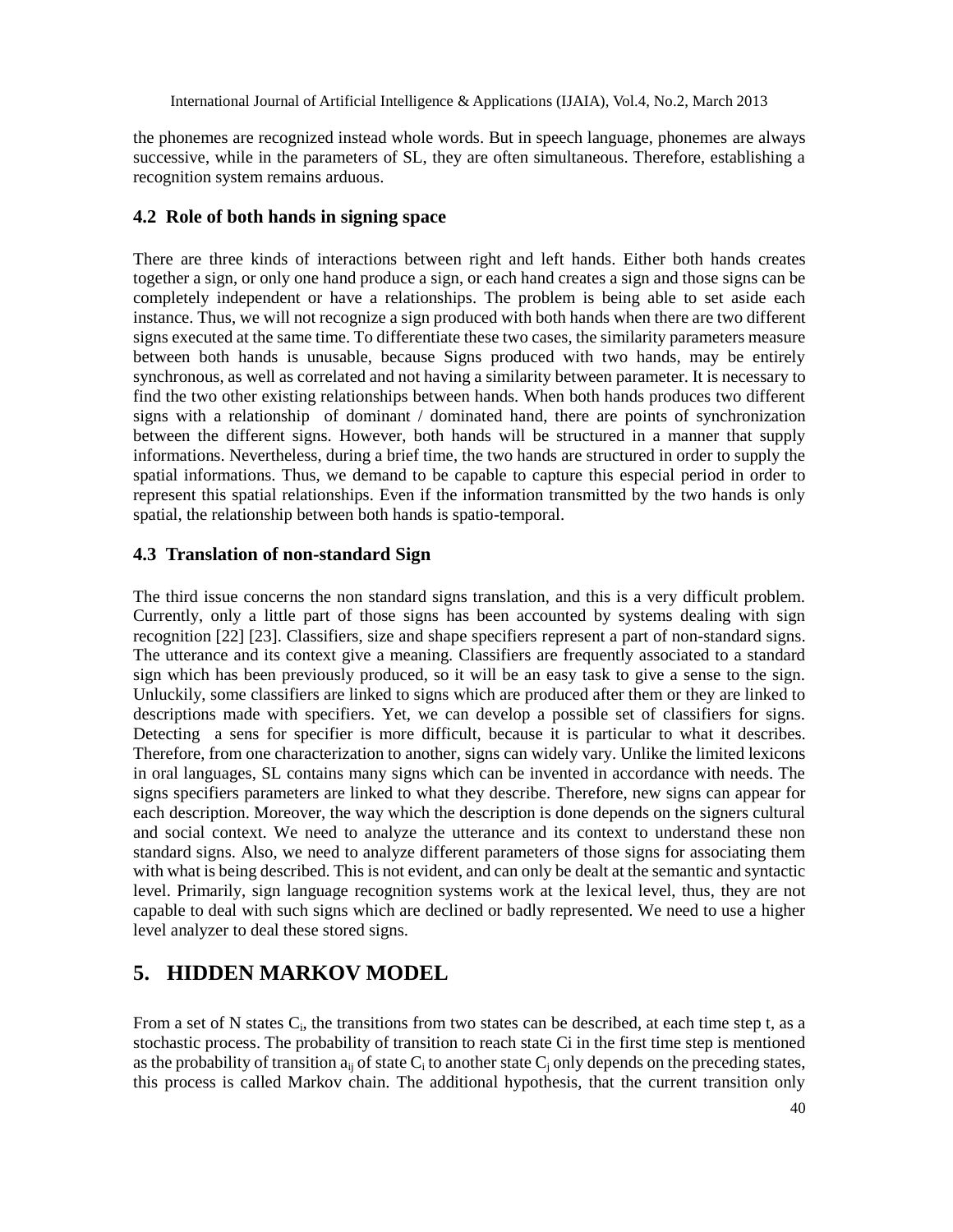the phonemes are recognized instead whole words. But in speech language, phonemes are always successive, while in the parameters of SL, they are often simultaneous. Therefore, establishing a recognition system remains arduous.

#### **4.2 Role of both hands in signing space**

There are three kinds of interactions between right and left hands. Either both hands creates together a sign, or only one hand produce a sign, or each hand creates a sign and those signs can be completely independent or have a relationships. The problem is being able to set aside each instance. Thus, we will not recognize a sign produced with both hands when there are two different signs executed at the same time. To differentiate these two cases, the similarity parameters measure between both hands is unusable, because Signs produced with two hands, may be entirely synchronous, as well as correlated and not having a similarity between parameter. It is necessary to find the two other existing relationships between hands. When both hands produces two different signs with a relationship of dominant / dominated hand, there are points of synchronization between the different signs. However, both hands will be structured in a manner that supply informations. Nevertheless, during a brief time, the two hands are structured in order to supply the spatial informations. Thus, we demand to be capable to capture this especial period in order to represent this spatial relationships. Even if the information transmitted by the two hands is only spatial, the relationship between both hands is spatio-temporal.

#### **4.3 Translation of non-standard Sign**

The third issue concerns the non standard signs translation, and this is a very difficult problem. Currently, only a little part of those signs has been accounted by systems dealing with sign recognition [22] [23]. Classifiers, size and shape specifiers represent a part of non-standard signs. The utterance and its context give a meaning. Classifiers are frequently associated to a standard sign which has been previously produced, so it will be an easy task to give a sense to the sign. Unluckily, some classifiers are linked to signs which are produced after them or they are linked to descriptions made with specifiers. Yet, we can develop a possible set of classifiers for signs. Detecting a sens for specifier is more difficult, because it is particular to what it describes. Therefore, from one characterization to another, signs can widely vary. Unlike the limited lexicons in oral languages, SL contains many signs which can be invented in accordance with needs. The signs specifiers parameters are linked to what they describe. Therefore, new signs can appear for each description. Moreover, the way which the description is done depends on the signers cultural and social context. We need to analyze the utterance and its context to understand these non standard signs. Also, we need to analyze different parameters of those signs for associating them with what is being described. This is not evident, and can only be dealt at the semantic and syntactic level. Primarily, sign language recognition systems work at the lexical level, thus, they are not capable to deal with such signs which are declined or badly represented. We need to use a higher level analyzer to deal these stored signs.

# **5. HIDDEN MARKOV MODEL**

From a set of N states  $C_i$ , the transitions from two states can be described, at each time step t, as a stochastic process. The probability of transition to reach state Ci in the first time step is mentioned as the probability of transition  $a_{ij}$  of state  $C_i$  to another state  $C_j$  only depends on the preceding states, this process is called Markov chain. The additional hypothesis, that the current transition only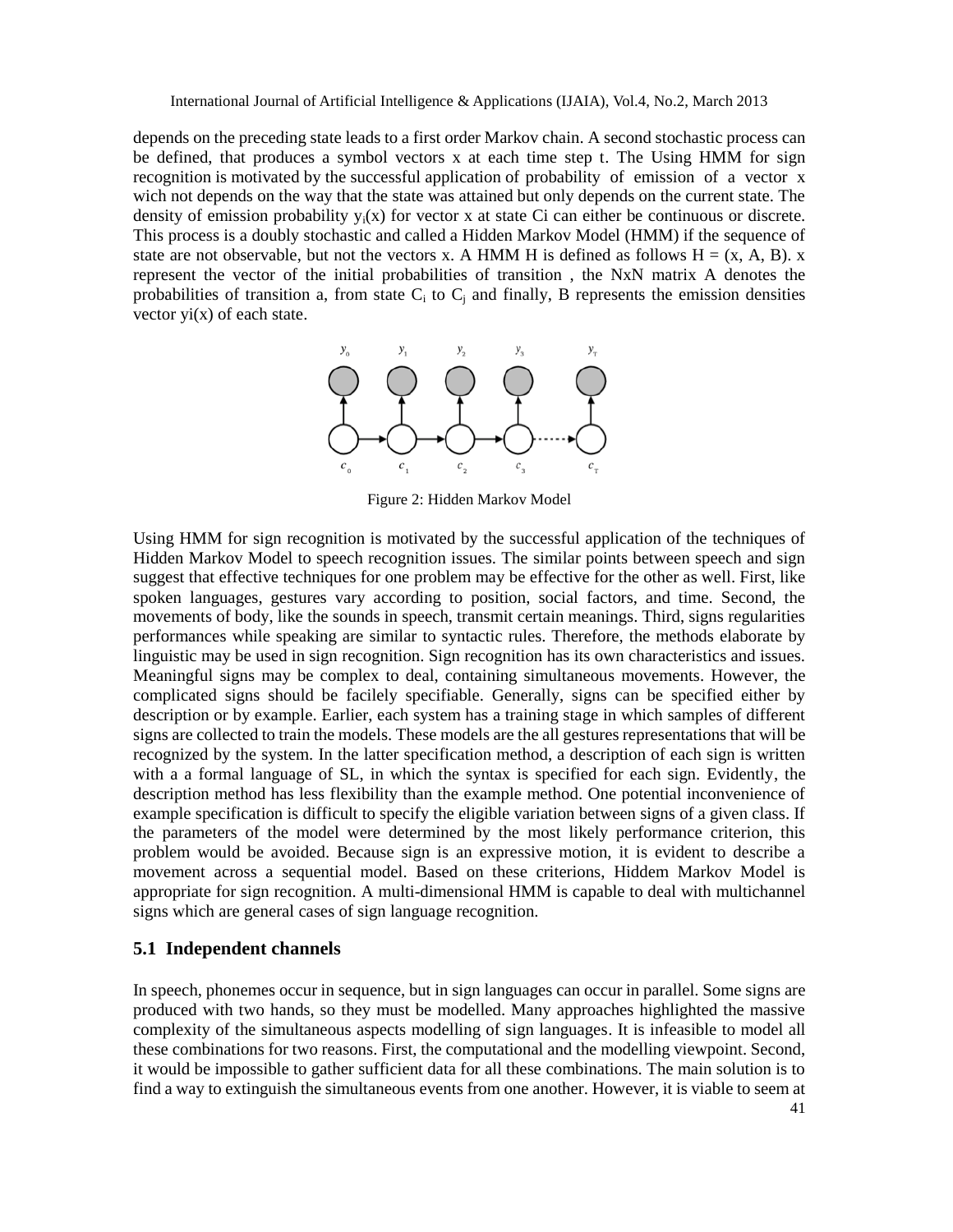depends on the preceding state leads to a first order Markov chain. A second stochastic process can be defined, that produces a symbol vectors x at each time step t. The Using HMM for sign recognition is motivated by the successful application of probability of emission of a vector x wich not depends on the way that the state was attained but only depends on the current state. The density of emission probability  $y_i(x)$  for vector x at state Ci can either be continuous or discrete. This process is a doubly stochastic and called a Hidden Markov Model (HMM) if the sequence of state are not observable, but not the vectors x. A HMM H is defined as follows  $H = (x, A, B)$ . x represent the vector of the initial probabilities of transition , the NxN matrix A denotes the probabilities of transition a, from state  $C_i$  to  $C_j$  and finally, B represents the emission densities vector  $yi(x)$  of each state.



Figure 2: Hidden Markov Model

Using HMM for sign recognition is motivated by the successful application of the techniques of Hidden Markov Model to speech recognition issues. The similar points between speech and sign suggest that effective techniques for one problem may be effective for the other as well. First, like spoken languages, gestures vary according to position, social factors, and time. Second, the movements of body, like the sounds in speech, transmit certain meanings. Third, signs regularities performances while speaking are similar to syntactic rules. Therefore, the methods elaborate by linguistic may be used in sign recognition. Sign recognition has its own characteristics and issues. Meaningful signs may be complex to deal, containing simultaneous movements. However, the complicated signs should be facilely specifiable. Generally, signs can be specified either by description or by example. Earlier, each system has a training stage in which samples of different signs are collected to train the models. These models are the all gestures representations that will be recognized by the system. In the latter specification method, a description of each sign is written with a a formal language of SL, in which the syntax is specified for each sign. Evidently, the description method has less flexibility than the example method. One potential inconvenience of example specification is difficult to specify the eligible variation between signs of a given class. If the parameters of the model were determined by the most likely performance criterion, this problem would be avoided. Because sign is an expressive motion, it is evident to describe a movement across a sequential model. Based on these criterions, Hiddem Markov Model is appropriate for sign recognition. A multi-dimensional HMM is capable to deal with multichannel signs which are general cases of sign language recognition.

#### **5.1 Independent channels**

In speech, phonemes occur in sequence, but in sign languages can occur in parallel. Some signs are produced with two hands, so they must be modelled. Many approaches highlighted the massive complexity of the simultaneous aspects modelling of sign languages. It is infeasible to model all these combinations for two reasons. First, the computational and the modelling viewpoint. Second, it would be impossible to gather sufficient data for all these combinations. The main solution is to find a way to extinguish the simultaneous events from one another. However, it is viable to seem at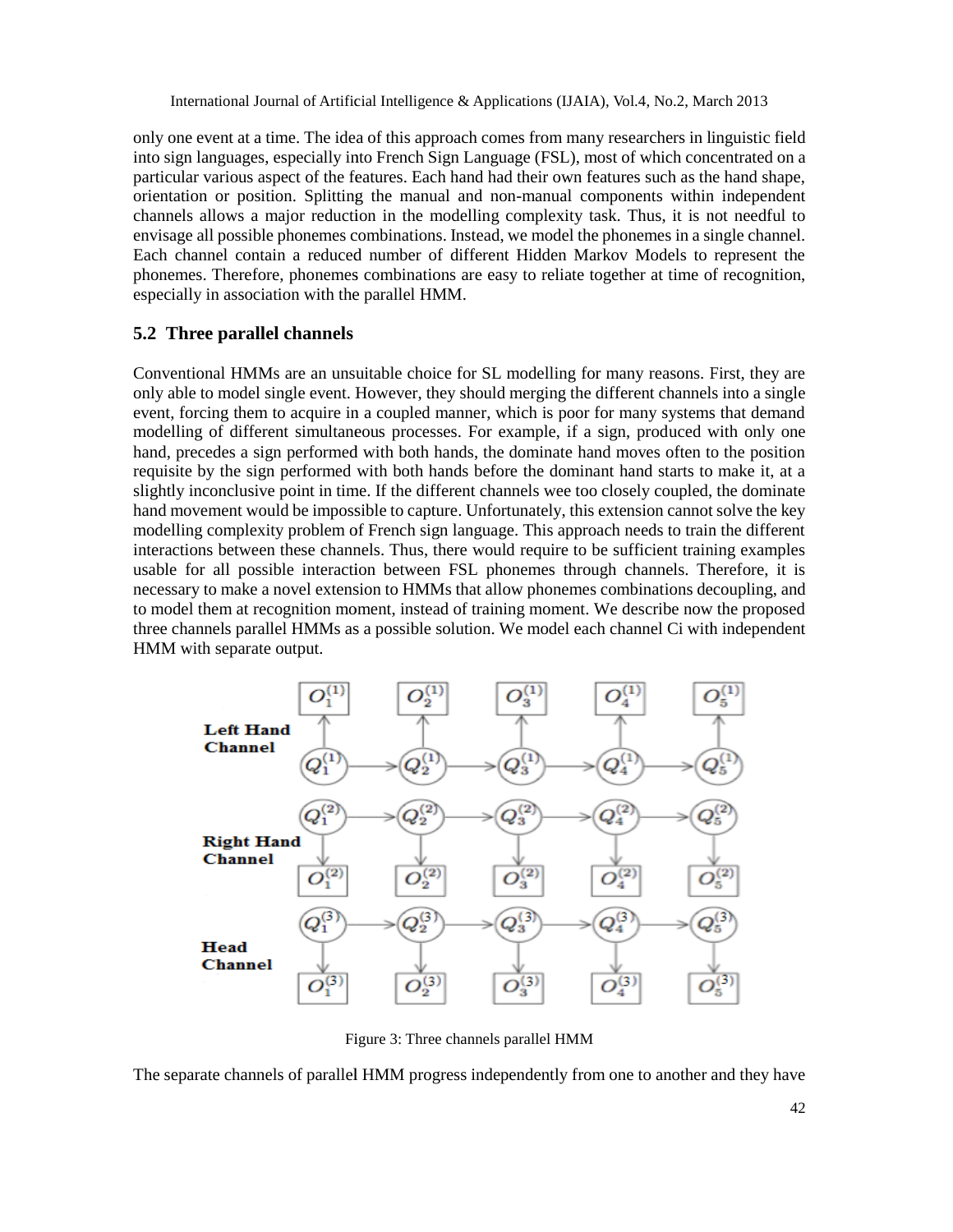only one event at a time. The idea of this approach comes from many researchers in linguistic field into sign languages, especially into French Sign Language (FSL), most of which concentrated on a particular various aspect of the features. Each hand had their own features such as the hand shape, orientation or position. Splitting the manual and non-manual components within independent channels allows a major reduction in the modelling complexity task. Thus, it is not needful to envisage all possible phonemes combinations. Instead, we model the phonemes in a single channel. Each channel contain a reduced number of different Hidden Markov Models to represent the phonemes. Therefore, phonemes combinations are easy to reliate together at time of recognition, especially in association with the parallel HMM. phonemes. Therefore, phonemes combinations are easy to reliate together at time of recognition,<br>especially in association with the parallel HMM.<br>5.2 Three parallel channels<br>Conventional HMMs are an unsuitable choice for SL only one event at a time. The idea of this approach comes from many researchers in linguistic field<br>into sign languages, especially into French Sign Language (FSL), most of which concentrated on a<br>particular various aspect orientation or position. Splitting the manual and non-manual components within independent<br>channels allows a major reduction in the modelling complexity task. Thus, it is not needful to<br>envisage all possible phonemes combi

#### **5.2 Three parallel channels**

only able to model single event. However, they should merging the different channels into a single event, forcing them to acquire in a coupled manner, which is poor for many systems that demand modelling of different simultaneous processes. For example, if a sign, produced with only one hand, precedes a sign performed with both hands, the dominate hand moves often to the position requisite by the sign performed with both hands before the dominant hand starts to make it, at a slightly inconclusive point in time. If the different channels wee too closely coupled, the dominate hand movement would be impossible to capture. Unfortunately, this extension cannot solve the key modelling complexity problem of French sign language. This approach needs to train the different interactions between these channels. Thus, there would require to be sufficient training examples usable for all possible interaction between FSL phonemes through channels. Therefore, it is necessary to make a novel extension to HMMs that allow phonemes combinations decoupling, and to model them at recognition moment, instead of training moment. We describe now the proposed three channels parallel HMMs as a possible solution. We model each channel Ci with independent HMM with separate output. ingle event. However, they should merging the different channels into a single<br>to acquire in a coupled manner, which is poor for many systems that demand<br>ent simultaneous processes. For example, if a sign, produced with on slightly inconclusive point in time. If the different channels wee too closely coupled, the dominate<br>hand movement would be impossible to capture. Unfortunately, this extension cannot solve the key<br>modelling complexity pro



Figure 3: Three channels parallel HMM

The separate channels of parallel HMM progress independently from one to another and they have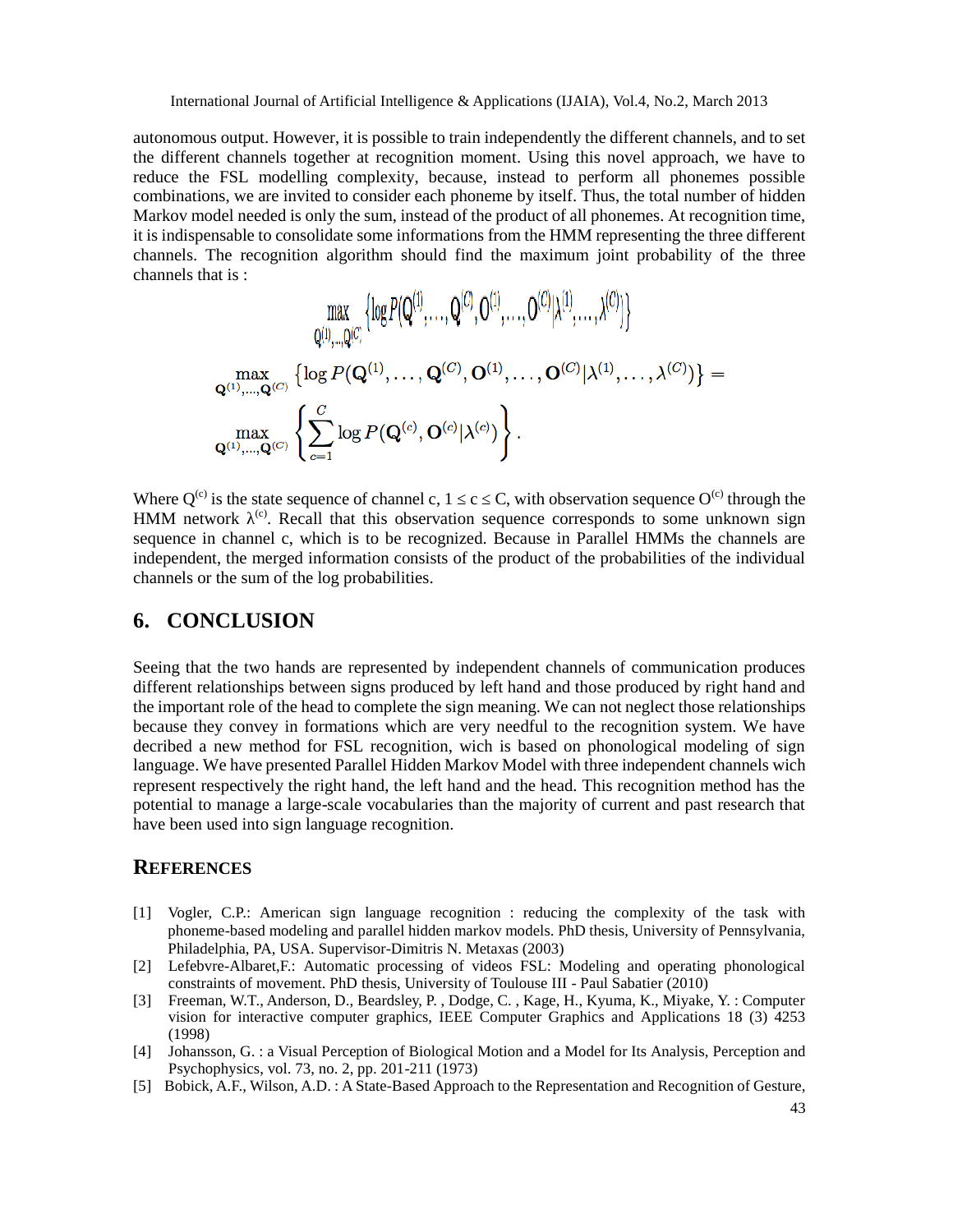autonomous output. However, it is possible to train independently the different channels, and to set the different channels together at recognition moment. Using this novel approach, we have to reduce the FSL modelling complexity, because, instead to perform all phonemes possible combinations, we are invited to consider each phoneme by itself. Thus, the total number of hidden Markov model needed is only the sum, instead of the product of all phonemes. At recognition time, it is indispensable to consolidate some informations from the HMM representing the three different channels. The recognition algorithm should find the maximum joint probability of the three channels that is :  $\mathcal{L}$  and  $\mathcal{L}$  and  $\mathcal{L}$ **Contract Contract** 

$$
\max_{\substack{\mathbf{Q}^{(1)},\ldots,\mathbf{Q}^{(C)} \\ \mathbf{Q}^{(1)},\ldots,\mathbf{Q}^{(C)}}}\left\{\log P(\mathbf{Q}^{(1)},\ldots,\mathbf{Q}^{(C)},\mathbf{O}^{(1)},\ldots,\mathbf{O}^{(C)}|\lambda^{(1)},\ldots,\lambda^{(C)})\right\} = \\ \max_{\substack{\mathbf{Q}^{(1)},\ldots,\mathbf{Q}^{(C)}} \\ \mathbf{Q}^{(1)},\ldots,\mathbf{Q}^{(C)}}}\left\{\sum_{c=1}^{C}\log P(\mathbf{Q}^{(c)},\mathbf{O}^{(c)}|\lambda^{(c)})\right\}.
$$

Where  $Q^{(c)}$  is the state sequence of channel c, 1 c C, with observation sequence  $O^{(c)}$  through the HMM network <sup>(c)</sup>. Recall that this observation sequence corresponds to some unknown sign sequence in channel c, which is to be recognized. Because in Parallel HMMs the channels are independent, the merged information consists of the product of the probabilities of the individual channels or the sum of the log probabilities.

# **6. CONCLUSION**

Seeing that the two hands are represented by independent channels of communication produces different relationships between signs produced by left hand and those produced by right hand and the important role of the head to complete the sign meaning. We can not neglect those relationships because they convey in formations which are very needful to the recognition system. We have decribed a new method for FSL recognition, wich is based on phonological modeling of sign language. We have presented Parallel Hidden Markov Model with three independent channels wich represent respectively the right hand, the left hand and the head. This recognition method has the potential to manage a large-scale vocabularies than the majority of current and past research that have been used into sign language recognition.

#### **REFERENCES**

- [1] Vogler, C.P.: American sign language recognition : reducing the complexity of the task with phoneme-based modeling and parallel hidden markov models. PhD thesis, University of Pennsylvania, Philadelphia, PA, USA. Supervisor-Dimitris N. Metaxas (2003)
- [2] Lefebvre-Albaret,F.: Automatic processing of videos FSL: Modeling and operating phonological constraints of movement. PhD thesis, University of Toulouse III - Paul Sabatier (2010)
- [3] Freeman, W.T., Anderson, D., Beardsley, P. , Dodge, C. , Kage, H., Kyuma, K., Miyake, Y. : Computer vision for interactive computer graphics, IEEE Computer Graphics and Applications 18 (3) 4253 (1998)
- [4] Johansson, G. : a Visual Perception of Biological Motion and a Model for Its Analysis, Perception and Psychophysics, vol. 73, no. 2, pp. 201-211 (1973)
- [5] Bobick, A.F., Wilson, A.D. : A State-Based Approach to the Representation and Recognition of Gesture,